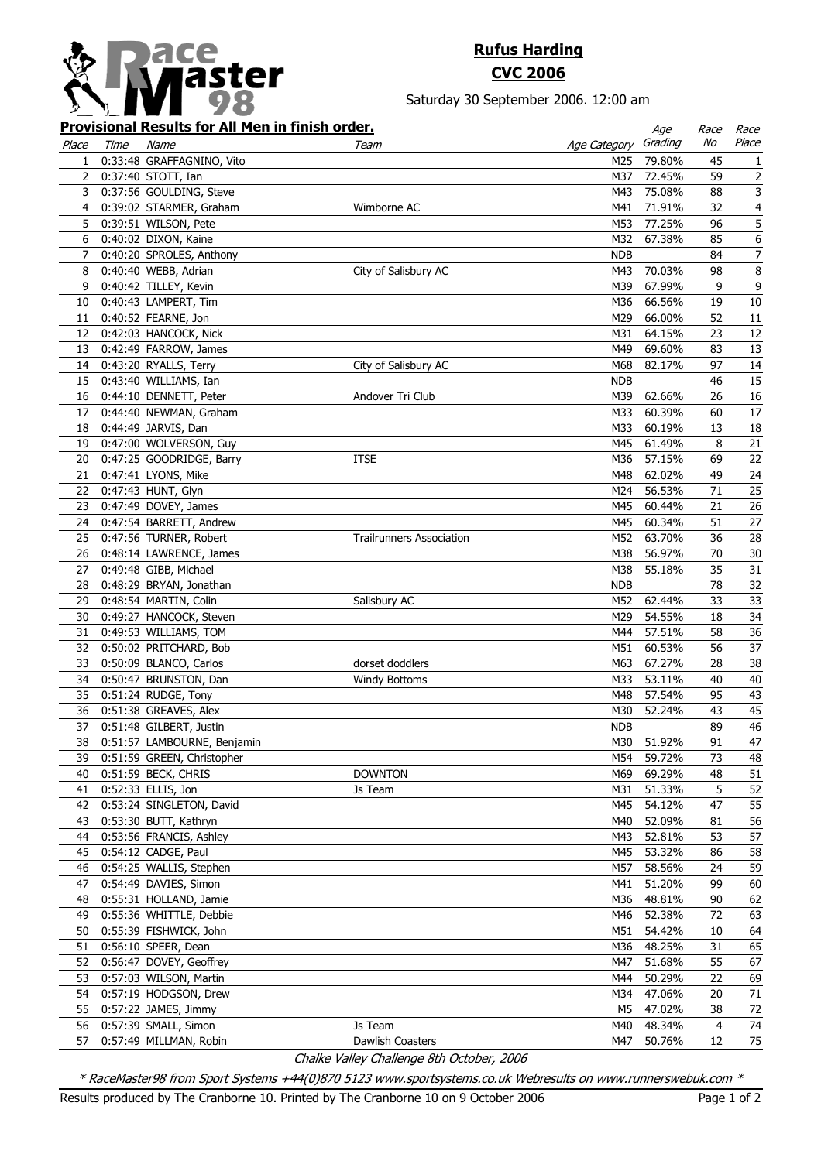

## **Rufus Harding CVC 2006**

Saturday 30 September 2006. 12:00 am

## **Provisional Results for All Men in finish order.**

|                |      | <u>Provisional Results for All Men in finish order.</u> |                                 |              | Age                  | Race | Race             |
|----------------|------|---------------------------------------------------------|---------------------------------|--------------|----------------------|------|------------------|
| Place          | Time | Name                                                    | Team                            | Age Category | Grading              | No   | Place            |
| $\mathbf{1}$   |      | 0:33:48 GRAFFAGNINO, Vito                               |                                 |              | M25 79.80%           | 45   | 1                |
|                |      | 2 0:37:40 STOTT, Ian                                    |                                 | M37          | 72.45%               | 59   | $\overline{2}$   |
| 3              |      | 0:37:56 GOULDING, Steve                                 |                                 | M43          | 75.08%               | 88   | 3                |
| $\overline{4}$ |      | 0:39:02 STARMER, Graham                                 | Wimborne AC                     | M41          | 71.91%               | 32   | $\overline{4}$   |
| 5              |      | 0:39:51 WILSON, Pete                                    |                                 | M53          | 77.25%               | 96   | 5                |
| 6              |      | 0:40:02 DIXON, Kaine                                    |                                 | M32          | 67.38%               | 85   | $\boldsymbol{6}$ |
| 7              |      | 0:40:20 SPROLES, Anthony                                |                                 | <b>NDB</b>   |                      | 84   | $\boldsymbol{7}$ |
| 8              |      | 0:40:40 WEBB, Adrian                                    | City of Salisbury AC            | M43          | 70.03%               | 98   | $\bf 8$          |
| 9              |      | 0:40:42 TILLEY, Kevin                                   |                                 | M39          | 67.99%               | 9    | $\mathsf 9$      |
| 10             |      | 0:40:43 LAMPERT, Tim                                    |                                 | M36          | 66.56%               | 19   | $10\,$           |
| 11             |      | 0:40:52 FEARNE, Jon                                     |                                 | M29          | 66.00%               | 52   | 11               |
|                |      | 12 0:42:03 HANCOCK, Nick                                |                                 | M31          | 64.15%               | 23   | 12               |
|                |      | 13 0:42:49 FARROW, James                                |                                 | M49          | 69.60%               | 83   | 13               |
|                |      | 14 0:43:20 RYALLS, Terry                                | City of Salisbury AC            | M68          | 82.17%               | 97   | 14               |
|                |      | 15 0:43:40 WILLIAMS, Ian                                |                                 | <b>NDB</b>   |                      | 46   | 15               |
|                |      | 16 0:44:10 DENNETT, Peter                               | Andover Tri Club                | M39          | 62.66%               | 26   | 16               |
| 17             |      | 0:44:40 NEWMAN, Graham                                  |                                 | M33          | 60.39%               | 60   | $17\,$           |
|                |      | 18 0:44:49 JARVIS, Dan                                  |                                 | M33          | 60.19%               | 13   | 18               |
|                |      | 19 0:47:00 WOLVERSON, Guy                               |                                 | M45          | 61.49%               | 8    | 21               |
| 20             |      | 0:47:25 GOODRIDGE, Barry                                | <b>ITSE</b>                     | M36          | 57.15%               | 69   | 22               |
| 21             |      | 0:47:41 LYONS, Mike                                     |                                 | M48          | 62.02%               | 49   | 24               |
|                |      |                                                         |                                 |              |                      | 71   | 25               |
|                |      | 22 0:47:43 HUNT, Glyn                                   |                                 | M24          | 56.53%               | 21   |                  |
|                |      | 23 0:47:49 DOVEY, James                                 |                                 | M45          | 60.44%<br>M45 60.34% | 51   | 26               |
|                |      | 24 0:47:54 BARRETT, Andrew                              |                                 |              |                      |      | 27               |
|                |      | 25 0:47:56 TURNER, Robert                               | <b>Trailrunners Association</b> | M52          | 63.70%               | 36   | 28               |
|                |      | 26 0:48:14 LAWRENCE, James                              |                                 | M38          | 56.97%               | 70   | $30\,$           |
| 27             |      | 0:49:48 GIBB, Michael                                   |                                 | M38          | 55.18%               | 35   | 31               |
|                |      | 28 0:48:29 BRYAN, Jonathan                              |                                 | <b>NDB</b>   |                      | 78   | 32               |
|                |      | 29 0:48:54 MARTIN, Colin                                | Salisbury AC                    |              | M52 62.44%           | 33   | 33               |
| 30             |      | 0:49:27 HANCOCK, Steven                                 |                                 | M29          | 54.55%               | 18   | 34               |
| 31             |      | 0:49:53 WILLIAMS, TOM                                   |                                 | M44          | 57.51%               | 58   | 36               |
|                |      | 32 0:50:02 PRITCHARD, Bob                               |                                 | M51          | 60.53%               | 56   | 37               |
|                |      | 33 0:50:09 BLANCO, Carlos                               | dorset doddlers                 | M63          | 67.27%               | 28   | 38               |
|                |      | 34 0:50:47 BRUNSTON, Dan                                | <b>Windy Bottoms</b>            | M33          | 53.11%               | 40   | 40               |
|                |      | 35 0:51:24 RUDGE, Tony                                  |                                 | M48          | 57.54%               | 95   | 43               |
|                |      | 36 0:51:38 GREAVES, Alex                                |                                 | M30          | 52.24%               | 43   | 45               |
| 37             |      | 0:51:48 GILBERT, Justin                                 |                                 | <b>NDB</b>   |                      | 89   | $46\,$           |
| 38             |      | 0:51:57 LAMBOURNE, Benjamin                             |                                 |              | M30 51.92%           | 91   | 47               |
| 39             |      | 0:51:59 GREEN, Christopher                              |                                 |              | M54 59.72%           | 73   | 48               |
| 40             |      | 0:51:59 BECK, CHRIS                                     | <b>DOWNTON</b>                  | M69          | 69.29%               | 48   | 51               |
| 41             |      | 0:52:33 ELLIS, Jon                                      | Js Team                         | M31          | 51.33%               | 5    | 52               |
|                |      | 42 0:53:24 SINGLETON, David                             |                                 | M45          | 54.12%               | 47   | 55               |
|                |      | 43 0:53:30 BUTT, Kathryn                                |                                 | M40          | 52.09%               | 81   | 56               |
| 44             |      | 0:53:56 FRANCIS, Ashley                                 |                                 | M43          | 52.81%               | 53   | 57               |
|                |      | 45 0:54:12 CADGE, Paul                                  |                                 | M45          | 53.32%               | 86   | 58               |
| 46             |      | 0:54:25 WALLIS, Stephen                                 |                                 | M57          | 58.56%               | 24   | 59               |
| 47             |      | 0:54:49 DAVIES, Simon                                   |                                 | M41          | 51.20%               | 99   | 60               |
| 48             |      | 0:55:31 HOLLAND, Jamie                                  |                                 | M36          | 48.81%               | 90   | 62               |
| 49             |      | 0:55:36 WHITTLE, Debbie                                 |                                 | M46          | 52.38%               | 72   | 63               |
| 50             |      | 0:55:39 FISHWICK, John                                  |                                 | M51          | 54.42%               | 10   | 64               |
| 51             |      | 0:56:10 SPEER, Dean                                     |                                 | M36          | 48.25%               | 31   | 65               |
| 52             |      | 0:56:47 DOVEY, Geoffrey                                 |                                 | M47          | 51.68%               | 55   | 67               |
|                |      | 53 0:57:03 WILSON, Martin                               |                                 | M44          | 50.29%               | 22   | 69               |
| 54             |      | 0:57:19 HODGSON, Drew                                   |                                 | M34          | 47.06%               | 20   | 71               |
|                |      | 55 0:57:22 JAMES, Jimmy                                 |                                 | M5           | 47.02%               | 38   | 72               |
|                |      | 56 0:57:39 SMALL, Simon                                 | Js Team                         | M40          | 48.34%               | 4    | 74               |
| 57             |      | 0:57:49 MILLMAN, Robin                                  | Dawlish Coasters                | M47          | 50.76%               | 12   | 75               |
|                |      |                                                         |                                 |              |                      |      |                  |

Chalke Valley Challenge 8th October, 2006

\* RaceMaster98 from Sport Systems +44(0)870 5123 www.sportsystems.co.uk Webresults on www.runnerswebuk.com \*